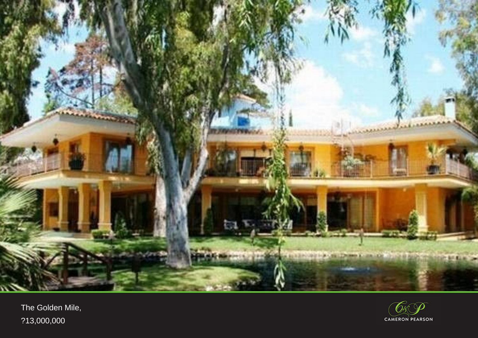



The Golden Mile, ?13,000,000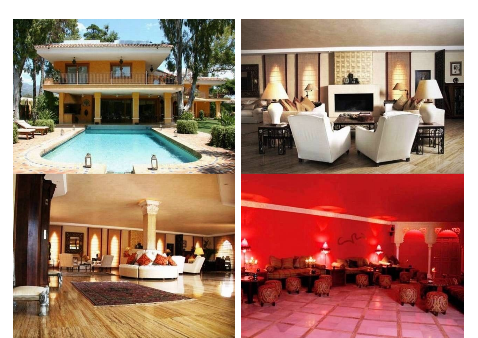

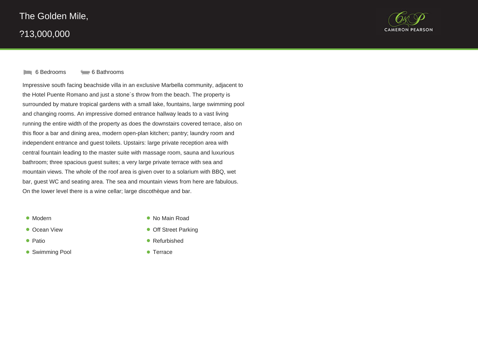

## **6 Bedrooms** 6 Bathrooms

Impressive south facing beachside villa in an exclusive Marbella community, adjacent to the Hotel Puente Romano and just a stone´s throw from the beach. The property is surrounded by mature tropical gardens with a small lake, fountains, large swimming pool and changing rooms. An impressive domed entrance hallway leads to a vast living running the entire width of the property as does the downstairs covered terrace, also on this floor a bar and dining area, modern open-plan kitchen; pantry; laundry room and independent entrance and guest toilets. Upstairs: large private reception area with central fountain leading to the master suite with massage room, sauna and luxurious bathroom; three spacious guest suites; a very large private terrace with sea and mountain views. The whole of the roof area is given over to a solarium with BBQ, wet bar, guest WC and seating area. The sea and mountain views from here are fabulous. On the lower level there is a wine cellar; large discothèque and bar.

- $\bullet$  Modern  $\bullet$
- Modern No Main Road
- Ocean View
- $\bullet$  Patio
- Swimming Pool **Canadian Contract Contract Contract Contract Contract Contract Contract Contract Contract Contract Contract Contract Contract Contract Contract Contract Contract Contract Contract Contract Contract Contrac**
- 
- **Off Street Parking**
- Patio Refurbished
	-